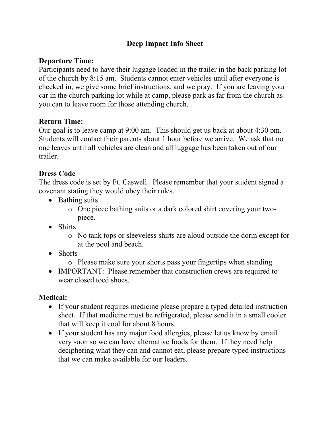### **Deep Impact Info Sheet**

#### **Departure Time:**

Participants need to have their luggage loaded in the trailer in the back parking lot of the church by 8:15 am. Students cannot enter vehicles until after everyone is checked in, we give some brief instructions, and we pray. If you are leaving your car in the church parking lot while at camp, please park as far from the church as you can to leave room for those attending church.

#### **Return Time:**

Our goal is to leave camp at 9:00 am. This should get us back at about 4:30 pm. Students will contact their parents about 1 hour before we arrive. We ask that no one leaves until all vehicles are clean and all luggage has been taken out of our trailer.

#### **Dress Code**

The dress code is set by Ft. Caswell. Please remember that your student signed a covenant stating they would obey their rules.

- Bathing suits
	- o One piece bathing suits or a dark colored shirt covering your twopiece.
- Shirts
	- o No tank tops or sleeveless shirts are aloud outside the dorm except for at the pool and beach.
- Shorts
	- o Please make sure your shorts pass your fingertips when standing
- IMPORTANT: Please remember that construction crews are required to wear closed toed shoes.

#### **Medical:**

- If your student requires medicine please prepare a typed detailed instruction sheet. If that medicine must be refrigerated, please send it in a small cooler that will keep it cool for about 8 hours.
- If your student has any major food allergies, please let us know by email very soon so we can have alternative foods for them. If they need help deciphering what they can and cannot eat, please prepare typed instructions that we can make available for our leaders.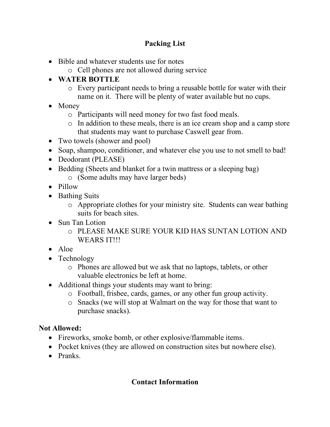## **Packing List**

- Bible and whatever students use for notes
	- o Cell phones are not allowed during service

# • **WATER BOTTLE**

- o Every participant needs to bring a reusable bottle for water with their name on it. There will be plenty of water available but no cups.
- Money
	- o Participants will need money for two fast food meals.
	- o In addition to these meals, there is an ice cream shop and a camp store that students may want to purchase Caswell gear from.
- Two towels (shower and pool)
- Soap, shampoo, conditioner, and whatever else you use to not smell to bad!
- Deodorant (PLEASE)
- Bedding (Sheets and blanket for a twin mattress or a sleeping bag) o (Some adults may have larger beds)
- Pillow
- Bathing Suits
	- o Appropriate clothes for your ministry site. Students can wear bathing suits for beach sites.
- Sun Tan Lotion
	- o PLEASE MAKE SURE YOUR KID HAS SUNTAN LOTION AND WEARS IT!!!
- Aloe
- Technology
	- o Phones are allowed but we ask that no laptops, tablets, or other valuable electronics be left at home.
- Additional things your students may want to bring:
	- o Football, frisbee, cards, games, or any other fun group activity.
	- o Snacks (we will stop at Walmart on the way for those that want to purchase snacks).

## **Not Allowed:**

- Fireworks, smoke bomb, or other explosive/flammable items.
- Pocket knives (they are allowed on construction sites but nowhere else).
- Pranks.

## **Contact Information**